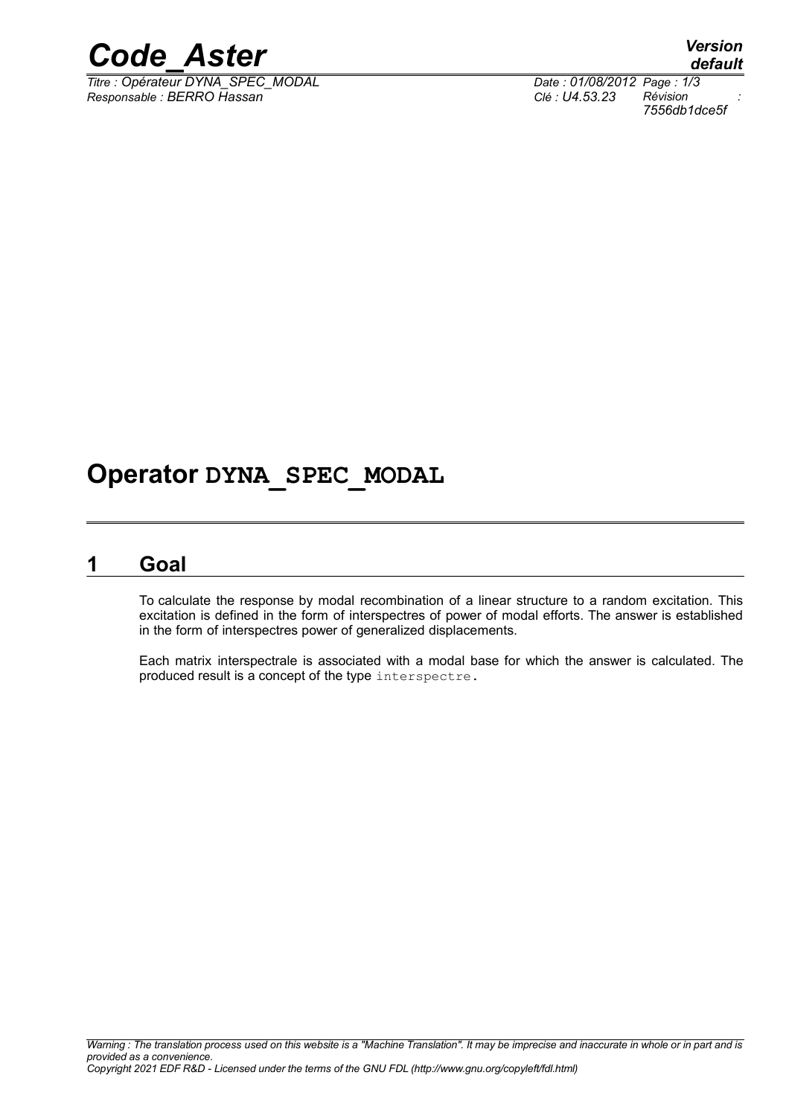

*Titre : Opérateur DYNA\_SPEC\_MODAL Date : 01/08/2012 Page : 1/3 Responsable : BERRO Hassan Clé : U4.53.23 Révision :*

*default 7556db1dce5f*

# **Operator DYNA\_SPEC\_MODAL**

## **1 Goal**

To calculate the response by modal recombination of a linear structure to a random excitation. This excitation is defined in the form of interspectres of power of modal efforts. The answer is established in the form of interspectres power of generalized displacements.

Each matrix interspectrale is associated with a modal base for which the answer is calculated. The produced result is a concept of the type interspectre.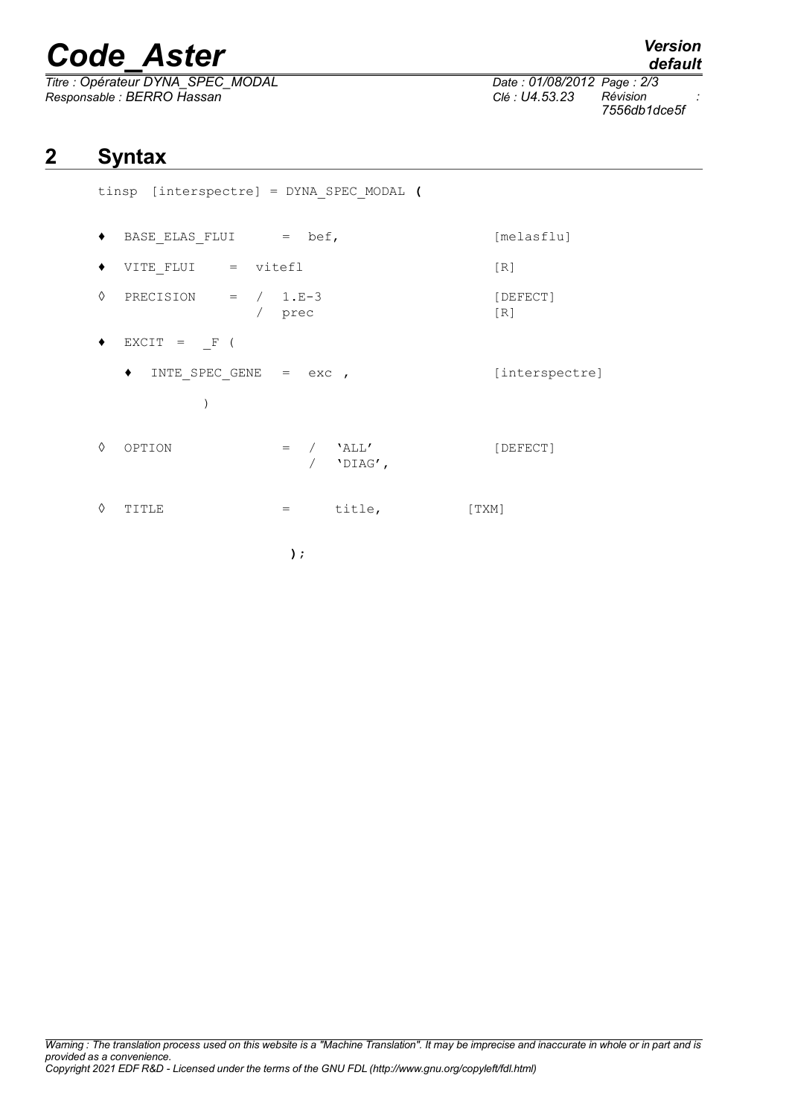# *Code\_Aster Version*

*Titre : Opérateur DYNA\_SPEC\_MODAL Date : 01/08/2012 Page : 2/3 Responsable : BERRO Hassan Clé : U4.53.23 Révision :*

*default 7556db1dce5f*

# **2 Syntax**

tinsp [interspectre] = DYNA\_SPEC\_MODAL **(**

- ♦ BASE\_ELAS\_FLUI = bef, [melasflu]  $\blacklozenge$  VITE FLUI = vitefl  $[R]$
- $\Diamond$  PRECISION =  $/$  1.E-3 [DEFECT] / prec [R]
- $\bullet$  EXCIT = F (
	- ♦ INTE\_SPEC\_GENE = exc , [interspectre] )
- $\Diamond$  OPTION = /  $'ALL'$  [DEFECT] / 'DIAG',
- $\Diamond$  TITLE  $=$  title, [TXM]

**);**